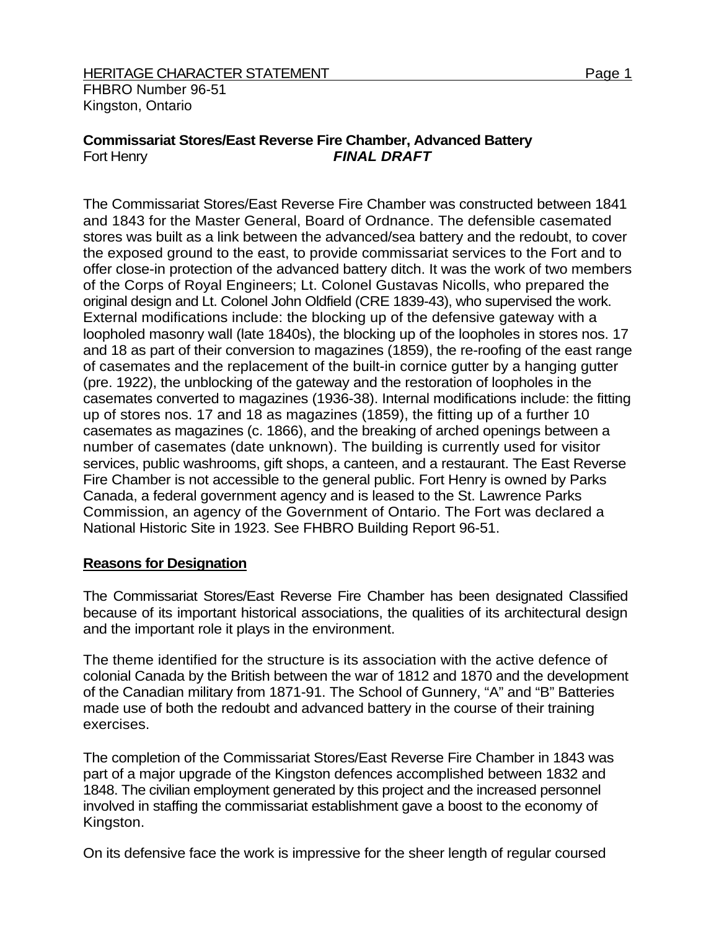# **Commissariat Stores/East Reverse Fire Chamber, Advanced Battery**  Fort Henry *FINAL DRAFT*

The Commissariat Stores/East Reverse Fire Chamber was constructed between 1841 and 1843 for the Master General, Board of Ordnance. The defensible casemated stores was built as a link between the advanced/sea battery and the redoubt, to cover the exposed ground to the east, to provide commissariat services to the Fort and to offer close-in protection of the advanced battery ditch. It was the work of two members of the Corps of Royal Engineers; Lt. Colonel Gustavas Nicolls, who prepared the original design and Lt. Colonel John Oldfield (CRE 1839-43), who supervised the work. External modifications include: the blocking up of the defensive gateway with a loopholed masonry wall (late 1840s), the blocking up of the loopholes in stores nos. 17 and 18 as part of their conversion to magazines (1859), the re-roofing of the east range of casemates and the replacement of the built-in cornice gutter by a hanging gutter (pre. 1922), the unblocking of the gateway and the restoration of loopholes in the casemates converted to magazines (1936-38). Internal modifications include: the fitting up of stores nos. 17 and 18 as magazines (1859), the fitting up of a further 10 casemates as magazines (c. 1866), and the breaking of arched openings between a number of casemates (date unknown). The building is currently used for visitor services, public washrooms, gift shops, a canteen, and a restaurant. The East Reverse Fire Chamber is not accessible to the general public. Fort Henry is owned by Parks Canada, a federal government agency and is leased to the St. Lawrence Parks Commission, an agency of the Government of Ontario. The Fort was declared a National Historic Site in 1923. See FHBRO Building Report 96-51.

## **Reasons for Designation**

The Commissariat Stores/East Reverse Fire Chamber has been designated Classified because of its important historical associations, the qualities of its architectural design and the important role it plays in the environment.

The theme identified for the structure is its association with the active defence of colonial Canada by the British between the war of 1812 and 1870 and the development of the Canadian military from 1871-91. The School of Gunnery, "A" and "B" Batteries made use of both the redoubt and advanced battery in the course of their training exercises.

The completion of the Commissariat Stores/East Reverse Fire Chamber in 1843 was part of a major upgrade of the Kingston defences accomplished between 1832 and 1848. The civilian employment generated by this project and the increased personnel involved in staffing the commissariat establishment gave a boost to the economy of Kingston.

On its defensive face the work is impressive for the sheer length of regular coursed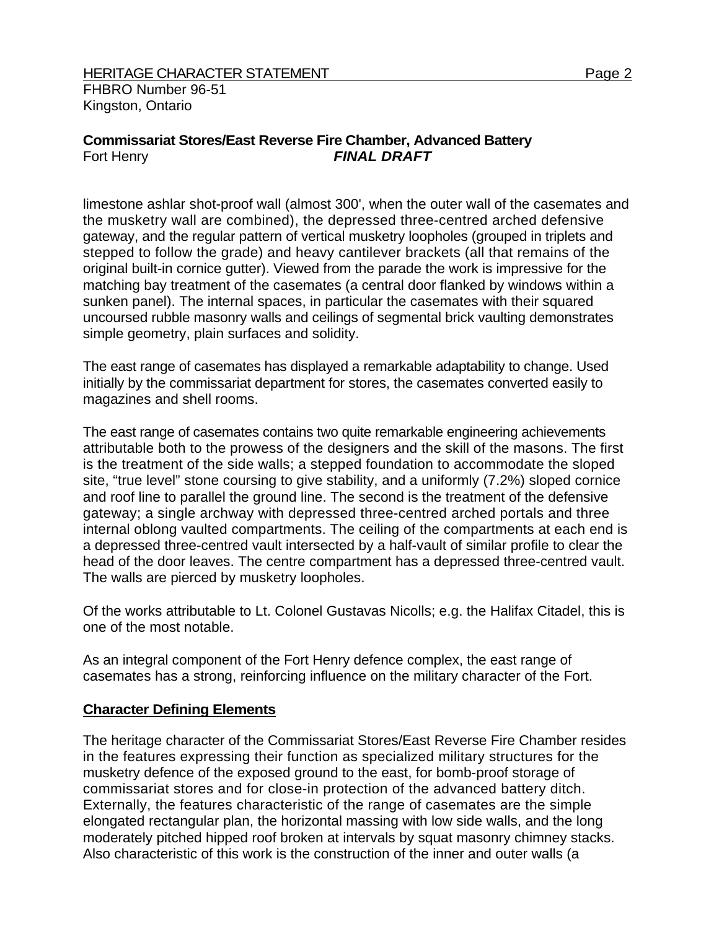# **Commissariat Stores/East Reverse Fire Chamber, Advanced Battery**  Fort Henry *FINAL DRAFT*

limestone ashlar shot-proof wall (almost 300', when the outer wall of the casemates and the musketry wall are combined), the depressed three-centred arched defensive gateway, and the regular pattern of vertical musketry loopholes (grouped in triplets and stepped to follow the grade) and heavy cantilever brackets (all that remains of the original built-in cornice gutter). Viewed from the parade the work is impressive for the matching bay treatment of the casemates (a central door flanked by windows within a sunken panel). The internal spaces, in particular the casemates with their squared uncoursed rubble masonry walls and ceilings of segmental brick vaulting demonstrates simple geometry, plain surfaces and solidity.

The east range of casemates has displayed a remarkable adaptability to change. Used initially by the commissariat department for stores, the casemates converted easily to magazines and shell rooms.

The east range of casemates contains two quite remarkable engineering achievements attributable both to the prowess of the designers and the skill of the masons. The first is the treatment of the side walls; a stepped foundation to accommodate the sloped site, "true level" stone coursing to give stability, and a uniformly (7.2%) sloped cornice and roof line to parallel the ground line. The second is the treatment of the defensive gateway; a single archway with depressed three-centred arched portals and three internal oblong vaulted compartments. The ceiling of the compartments at each end is a depressed three-centred vault intersected by a half-vault of similar profile to clear the head of the door leaves. The centre compartment has a depressed three-centred vault. The walls are pierced by musketry loopholes.

Of the works attributable to Lt. Colonel Gustavas Nicolls; e.g. the Halifax Citadel, this is one of the most notable.

As an integral component of the Fort Henry defence complex, the east range of casemates has a strong, reinforcing influence on the military character of the Fort.

## **Character Defining Elements**

The heritage character of the Commissariat Stores/East Reverse Fire Chamber resides in the features expressing their function as specialized military structures for the musketry defence of the exposed ground to the east, for bomb-proof storage of commissariat stores and for close-in protection of the advanced battery ditch. Externally, the features characteristic of the range of casemates are the simple elongated rectangular plan, the horizontal massing with low side walls, and the long moderately pitched hipped roof broken at intervals by squat masonry chimney stacks. Also characteristic of this work is the construction of the inner and outer walls (a